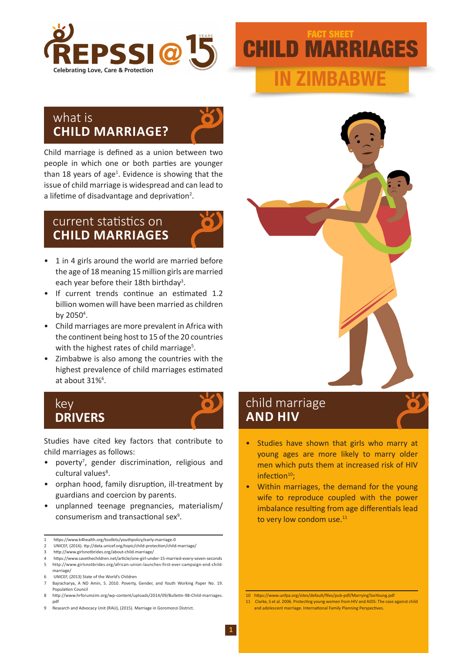

# CHILD MARRIAGES **IN ZIMBABWE** FACT SHEET

### what is **CHILD MARRIAGE?**



Child marriage is defined as a union between two people in which one or both parties are younger than 18 years of age<sup>1</sup>. Evidence is showing that the issue of child marriage is widespread and can lead to a lifetime of disadvantage and deprivation<sup>2</sup>.

## current statistics on **CHILD MARRIAGES**

- 1 in 4 girls around the world are married before the age of 18 meaning 15 million girls are married each year before their 18th birthday<sup>3</sup>.
- If current trends continue an estimated 1.2 billion women will have been married as children by 2050<sup>4</sup>.
- Child marriages are more prevalent in Africa with the continent being host to 15 of the 20 countries with the highest rates of child marriage<sup>5</sup>.
- Zimbabwe is also among the countries with the highest prevalence of child marriages estimated at about 31%<sup>6</sup>.

### key **DRIVERS**



Studies have cited key factors that contribute to child marriages as follows:

- poverty<sup>7</sup>, gender discrimination, religious and cultural values<sup>8</sup>.
- orphan hood, family disruption, ill-treatment by guardians and coercion by parents.
- unplanned teenage pregnancies, materialism/ consumerism and transactional sex<sup>9</sup>.

- 3 http://www.girlsnotbrides.org/about-child-marriage/
- 4 https://www.savethechildren.net/article/one-girl-under-15-married-every-seven-seconds 5 http://www.girlsnotbrides.org/african-union-launches-first-ever-campaign-end-childmarriage/
- UNICEF, (2013) State of the World's Children

9 Research and Advocacy Unit (RAU), (2015). Marriage in Goromonzi District



- Studies have shown that girls who marry at young ages are more likely to marry older men which puts them at increased risk of HIV infection<sup>10</sup>;
- Within marriages, the demand for the young wife to reproduce coupled with the power imbalance resulting from age differentials lead to very low condom use.<sup>11</sup>

10 https://www.unfpa.org/sites/default/files/pub-pdf/MarryingTooYoung.pdf 11 Clarke, S et al. 2006. Protecting young women from HIV and AIDS: The case against child and adolescent marriage. International Family Planning Perspectives.

<sup>1</sup> https://www.k4health.org/toolkits/youthpolicy/early-marriage-0

<sup>2</sup> UNICEF, (2016). ttp://data.unicef.org/topic/child-protection/child-marriage/

Bajracharya, A ND Amin, S. 2010. Poverty, Gender, and Youth Working Paper No. 19. Population Council

<sup>8</sup> http://www.hrforumzim.org/wp-content/uploads/2014/09/Bulletin-98-Child-marriages. pdf